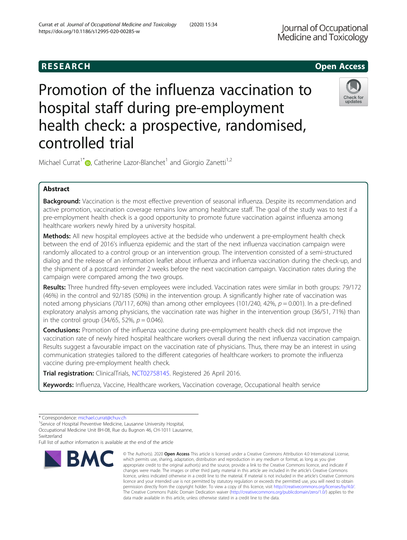# R E S EAR CH Open Access

# Promotion of the influenza vaccination to hospital staff during pre-employment health check: a prospective, randomised, controlled trial



Michael Currat<sup>1\*</sup>  $\bullet$ [,](http://orcid.org/0000-0002-4094-559X) Catherine Lazor-Blanchet<sup>1</sup> and Giorgio Zanetti<sup>1,2</sup>

## Abstract

**Background:** Vaccination is the most effective prevention of seasonal influenza. Despite its recommendation and active promotion, vaccination coverage remains low among healthcare staff. The goal of the study was to test if a pre-employment health check is a good opportunity to promote future vaccination against influenza among healthcare workers newly hired by a university hospital.

Methods: All new hospital employees active at the bedside who underwent a pre-employment health check between the end of 2016's influenza epidemic and the start of the next influenza vaccination campaign were randomly allocated to a control group or an intervention group. The intervention consisted of a semi-structured dialog and the release of an information leaflet about influenza and influenza vaccination during the check-up, and the shipment of a postcard reminder 2 weeks before the next vaccination campaign. Vaccination rates during the campaign were compared among the two groups.

Results: Three hundred fifty-seven employees were included. Vaccination rates were similar in both groups: 79/172 (46%) in the control and 92/185 (50%) in the intervention group. A significantly higher rate of vaccination was noted among physicians (70/117, 60%) than among other employees (101/240, 42%,  $p = 0.001$ ). In a pre-defined exploratory analysis among physicians, the vaccination rate was higher in the intervention group (36/51, 71%) than in the control group (34/65, 52%,  $p = 0.046$ ).

**Conclusions:** Promotion of the influenza vaccine during pre-employment health check did not improve the vaccination rate of newly hired hospital healthcare workers overall during the next influenza vaccination campaign. Results suggest a favourable impact on the vaccination rate of physicians. Thus, there may be an interest in using communication strategies tailored to the different categories of healthcare workers to promote the influenza vaccine during pre-employment health check.

Trial registration: ClinicalTrials, [NCT02758145](https://clinicaltrials.gov/ct2/show/NCT02758145). Registered 26 April 2016.

Keywords: Influenza, Vaccine, Healthcare workers, Vaccination coverage, Occupational health service

Full list of author information is available at the end of the article



<sup>©</sup> The Author(s), 2020 **Open Access** This article is licensed under a Creative Commons Attribution 4.0 International License, which permits use, sharing, adaptation, distribution and reproduction in any medium or format, as long as you give appropriate credit to the original author(s) and the source, provide a link to the Creative Commons licence, and indicate if changes were made. The images or other third party material in this article are included in the article's Creative Commons licence, unless indicated otherwise in a credit line to the material. If material is not included in the article's Creative Commons licence and your intended use is not permitted by statutory regulation or exceeds the permitted use, you will need to obtain permission directly from the copyright holder. To view a copy of this licence, visit [http://creativecommons.org/licenses/by/4.0/.](http://creativecommons.org/licenses/by/4.0/) The Creative Commons Public Domain Dedication waiver [\(http://creativecommons.org/publicdomain/zero/1.0/](http://creativecommons.org/publicdomain/zero/1.0/)) applies to the data made available in this article, unless otherwise stated in a credit line to the data.

<sup>\*</sup> Correspondence: [michael.currat@chuv.ch](mailto:michael.currat@chuv.ch)<br><sup>1</sup>Service of Hospital Preventive Medicine, Lausanne University Hospital, Occupational Medicine Unit BH-08, Rue du Bugnon 46, CH-1011 Lausanne, Switzerland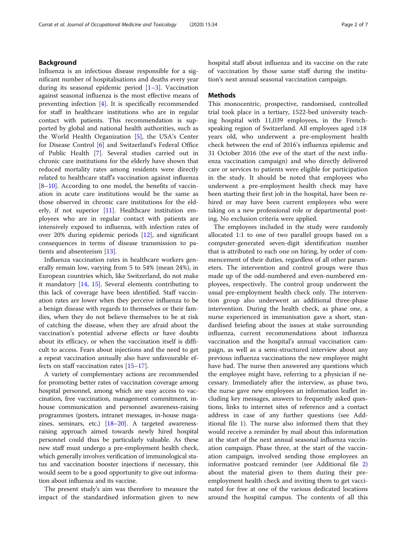nificant number of hospitalisations and deaths every year during its seasonal epidemic period  $[1-3]$  $[1-3]$  $[1-3]$  $[1-3]$ . Vaccination against seasonal influenza is the most effective means of preventing infection [[4\]](#page-5-0). It is specifically recommended for staff in healthcare institutions who are in regular contact with patients. This recommendation is supported by global and national health authorities, such as the World Health Organization [[5\]](#page-5-0), the USA's Center for Disease Control [[6\]](#page-5-0) and Switzerland's Federal Office of Public Health [\[7](#page-5-0)]. Several studies carried out in chronic care institutions for the elderly have shown that reduced mortality rates among residents were directly related to healthcare staff's vaccination against influenza [[8](#page-6-0)–[10\]](#page-6-0). According to one model, the benefits of vaccination in acute care institutions would be the same as those observed in chronic care institutions for the elderly, if not superior [\[11](#page-6-0)]. Healthcare institution employees who are in regular contact with patients are intensively exposed to influenza, with infection rates of over 20% during epidemic periods [[12\]](#page-6-0), and significant consequences in terms of disease transmission to patients and absenteeism [[13\]](#page-6-0).

Influenza vaccination rates in healthcare workers generally remain low, varying from 5 to 54% (mean 24%), in European countries which, like Switzerland, do not make it mandatory [\[14,](#page-6-0) [15](#page-6-0)]. Several elements contributing to this lack of coverage have been identified. Staff vaccination rates are lower when they perceive influenza to be a benign disease with regards to themselves or their families, when they do not believe themselves to be at risk of catching the disease, when they are afraid about the vaccination's potential adverse effects or have doubts about its efficacy, or when the vaccination itself is difficult to access. Fears about injections and the need to get a repeat vaccination annually also have unfavourable effects on staff vaccination rates [[15](#page-6-0)–[17](#page-6-0)].

A variety of complementary actions are recommended for promoting better rates of vaccination coverage among hospital personnel, among which are easy access to vaccination, free vaccination, management commitment, inhouse communication and personnel awareness-raising programmes (posters, intranet messages, in-house magazines, seminars, etc.) [[18](#page-6-0)–[20\]](#page-6-0). A targeted awarenessraising approach aimed towards newly hired hospital personnel could thus be particularly valuable. As these new staff must undergo a pre-employment health check, which generally involves verification of immunological status and vaccination booster injections if necessary, this would seem to be a good opportunity to give out information about influenza and its vaccine.

The present study's aim was therefore to measure the impact of the standardised information given to new hospital staff about influenza and its vaccine on the rate of vaccination by those same staff during the institution's next annual seasonal vaccination campaign.

#### Methods

This monocentric, prospective, randomised, controlled trial took place in a tertiary, 1522-bed university teaching hospital with 11,039 employees, in the Frenchspeaking region of Switzerland. All employees aged ≥18 years old, who underwent a pre-employment health check between the end of 2016's influenza epidemic and 31 October 2016 (the eve of the start of the next influenza vaccination campaign) and who directly delivered care or services to patients were eligible for participation in the study. It should be noted that employees who underwent a pre-employment health check may have been starting their first job in the hospital, have been rehired or may have been current employees who were taking on a new professional role or departmental posting. No exclusion criteria were applied.

The employees included in the study were randomly allocated 1:1 to one of two parallel groups based on a computer-generated seven-digit identification number that is attributed to each one on hiring, by order of commencement of their duties, regardless of all other parameters. The intervention and control groups were thus made up of the odd-numbered and even-numbered employees, respectively. The control group underwent the usual pre-employment health check only. The intervention group also underwent an additional three-phase intervention. During the health check, as phase one, a nurse experienced in immunisation gave a short, standardised briefing about the issues at stake surrounding influenza, current recommendations about influenza vaccination and the hospital's annual vaccination campaign, as well as a semi-structured interview about any previous influenza vaccinations the new employee might have had. The nurse then answered any questions which the employee might have, referring to a physician if necessary. Immediately after the interview, as phase two, the nurse gave new employees an information leaflet including key messages, answers to frequently asked questions, links to internet sites of reference and a contact address in case of any further questions (see Additional file [1](#page-5-0)). The nurse also informed them that they would receive a reminder by mail about this information at the start of the next annual seasonal influenza vaccination campaign. Phase three, at the start of the vaccination campaign, involved sending those employees an informative postcard reminder (see Additional file [2](#page-5-0)) about the material given to them during their preemployment health check and inviting them to get vaccinated for free at one of the various dedicated locations around the hospital campus. The contents of all this

Influenza is an infectious disease responsible for a sig-

Background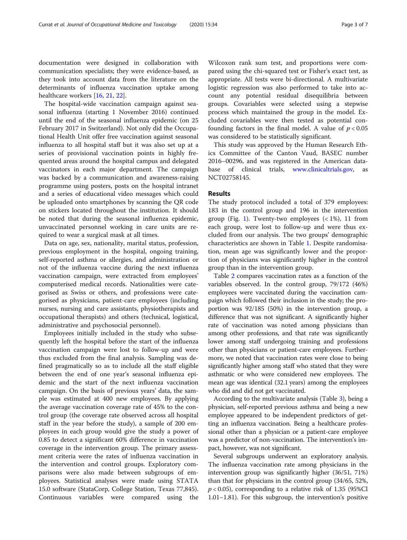documentation were designed in collaboration with communication specialists; they were evidence-based, as they took into account data from the literature on the determinants of influenza vaccination uptake among healthcare workers [\[16](#page-6-0), [21,](#page-6-0) [22\]](#page-6-0).

The hospital-wide vaccination campaign against seasonal influenza (starting 1 November 2016) continued until the end of the seasonal influenza epidemic (on 25 February 2017 in Switzerland). Not only did the Occupational Health Unit offer free vaccination against seasonal influenza to all hospital staff but it was also set up at a series of provisional vaccination points in highly frequented areas around the hospital campus and delegated vaccinators in each major department. The campaign was backed by a communication and awareness-raising programme using posters, posts on the hospital intranet and a series of educational video messages which could be uploaded onto smartphones by scanning the QR code on stickers located throughout the institution. It should be noted that during the seasonal influenza epidemic, unvaccinated personnel working in care units are required to wear a surgical mask at all times.

Data on age, sex, nationality, marital status, profession, previous employment in the hospital, ongoing training, self-reported asthma or allergies, and administration or not of the influenza vaccine during the next influenza vaccination campaign, were extracted from employees' computerised medical records. Nationalities were categorised as Swiss or others, and professions were categorised as physicians, patient-care employees (including nurses, nursing and care assistants, physiotherapists and occupational therapists) and others (technical, logistical, administrative and psychosocial personnel).

Employees initially included in the study who subsequently left the hospital before the start of the influenza vaccination campaign were lost to follow-up and were thus excluded from the final analysis. Sampling was defined pragmatically so as to include all the staff eligible between the end of one year's seasonal influenza epidemic and the start of the next influenza vaccination campaign. On the basis of previous years' data, the sample was estimated at 400 new employees. By applying the average vaccination coverage rate of 45% to the control group (the coverage rate observed across all hospital staff in the year before the study), a sample of 200 employees in each group would give the study a power of 0.85 to detect a significant 60% difference in vaccination coverage in the intervention group. The primary assessment criteria were the rates of influenza vaccination in the intervention and control groups. Exploratory comparisons were also made between subgroups of employees. Statistical analyses were made using STATA 15.0 software (StataCorp, College Station, Texas 77,845). Continuous variables were compared using the

Wilcoxon rank sum test, and proportions were compared using the chi-squared test or Fisher's exact test, as appropriate. All tests were bi-directional. A multivariate logistic regression was also performed to take into account any potential residual disequilibria between groups. Covariables were selected using a stepwise process which maintained the group in the model. Excluded covariables were then tested as potential confounding factors in the final model. A value of  $p < 0.05$ was considered to be statistically significant.

This study was approved by the Human Research Ethics Committee of the Canton Vaud, BASEC number 2016–00296, and was registered in the American database of clinical trials, [www.clinicaltrials.gov,](http://www.clinicaltrials.gov) as NCT02758145.

#### Results

The study protocol included a total of 379 employees: 183 in the control group and 196 in the intervention group (Fig. [1\)](#page-3-0). Twenty-two employees  $($  < 1%), 11 from each group, were lost to follow-up and were thus excluded from our analysis. The two groups' demographic characteristics are shown in Table [1](#page-3-0). Despite randomisation, mean age was significantly lower and the proportion of physicians was significantly higher in the control group than in the intervention group.

Table [2](#page-4-0) compares vaccination rates as a function of the variables observed. In the control group, 79/172 (46%) employees were vaccinated during the vaccination campaign which followed their inclusion in the study; the proportion was 92/185 (50%) in the intervention group, a difference that was not significant. A significantly higher rate of vaccination was noted among physicians than among other professions, and that rate was significantly lower among staff undergoing training and professions other than physicians or patient-care employees. Furthermore, we noted that vaccination rates were close to being significantly higher among staff who stated that they were asthmatic or who were considered new employees. The mean age was identical (32.1 years) among the employees who did and did not get vaccinated.

According to the multivariate analysis (Table [3](#page-4-0)), being a physician, self-reported previous asthma and being a new employee appeared to be independent predictors of getting an influenza vaccination. Being a healthcare professional other than a physician or a patient-care employee was a predictor of non-vaccination. The intervention's impact, however, was not significant.

Several subgroups underwent an exploratory analysis. The influenza vaccination rate among physicians in the intervention group was significantly higher (36/51, 71%) than that for physicians in the control group (34/65, 52%,  $p < 0.05$ ), corresponding to a relative risk of 1.35 (95%CI 1.01–1.81). For this subgroup, the intervention's positive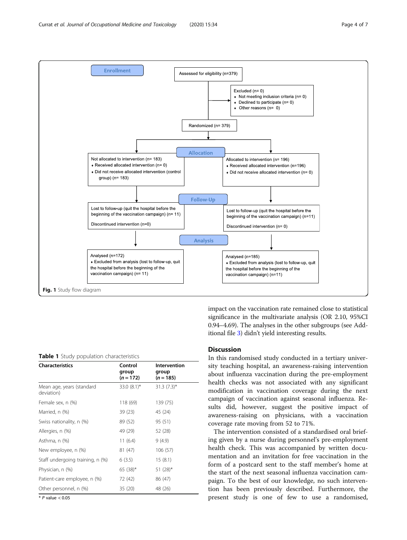<span id="page-3-0"></span>

|  |  |  | Table 1 Study population characteristics |
|--|--|--|------------------------------------------|
|--|--|--|------------------------------------------|

| <b>Characteristics</b>                  | Control<br>group<br>$(n = 172)$ | Intervention<br>group<br>$(n = 185)$ |
|-----------------------------------------|---------------------------------|--------------------------------------|
| Mean age, years (standard<br>deviation) | 33.0 $(8.1)^*$                  | $31.3(7.3)^{*}$                      |
| Female sex, n (%)                       | 118 (69)                        | 139 (75)                             |
| Married, n (%)                          | 39 (23)                         | 45 (24)                              |
| Swiss nationality, n (%)                | 89 (52)                         | 95 (51)                              |
| Allergies, n (%)                        | 49 (29)                         | 52 (28)                              |
| Asthma, n (%)                           | 11 $(6.4)$                      | 9(4.9)                               |
| New employee, n (%)                     | 81 (47)                         | 106(57)                              |
| Staff undergoing training, n (%)        | 6(3.5)                          | 15(8.1)                              |
| Physician, n (%)                        | 65 (38)*                        | 51 $(28)$ *                          |
| Patient-care employee, n (%)            | 72 (42)                         | 86 (47)                              |
| Other personnel, n (%)                  | 35 (20)                         | 48 (26)                              |

 $*$  P value  $< 0.05$ 

impact on the vaccination rate remained close to statistical significance in the multivariate analysis (OR 2.10, 95%CI 0.94–4.69). The analyses in the other subgroups (see Additional file [3](#page-5-0)) didn't yield interesting results.

### **Discussion**

In this randomised study conducted in a tertiary university teaching hospital, an awareness-raising intervention about influenza vaccination during the pre-employment health checks was not associated with any significant modification in vaccination coverage during the next campaign of vaccination against seasonal influenza. Results did, however, suggest the positive impact of awareness-raising on physicians, with a vaccination coverage rate moving from 52 to 71%.

The intervention consisted of a standardised oral briefing given by a nurse during personnel's pre-employment health check. This was accompanied by written documentation and an invitation for free vaccination in the form of a postcard sent to the staff member's home at the start of the next seasonal influenza vaccination campaign. To the best of our knowledge, no such intervention has been previously described. Furthermore, the present study is one of few to use a randomised,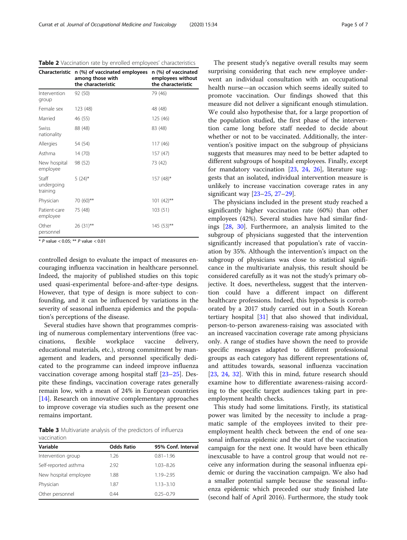|                       | Characteristic n (%) of vaccinated employees<br>among those with<br>the characteristic | n (%) of vaccinated<br>employees without<br>the characteristic |
|-----------------------|----------------------------------------------------------------------------------------|----------------------------------------------------------------|
| Intervention<br>group | 92 (50)                                                                                | 79 (46)                                                        |
| Female sex            | 123 (48)                                                                               | 48 (48)                                                        |
| Married               | 46 (55)                                                                                | 125 (46)                                                       |
| Swiss                 | 88 (48)                                                                                | 83 (48)                                                        |

98 (52) 73 (42)

5 (24)\* 157 (48)\*

75 (48) 103 (51)

26 (31)\*\* 145 (53)\*\*

Allergies 54 (54) 117 (46) Asthma 14 (70) 157 (47)

Physician 70 (60)<sup>\*\*</sup> 101 (42)<sup>\*\*</sup>

<span id="page-4-0"></span>Table 2 Vaccination rate by enrolled employees' characteristics

| * P value $< 0.05$ ; ** P value $< 0.01$ |  |
|------------------------------------------|--|
|------------------------------------------|--|

nationality

New hospital employee

Patient-care employee

Other personnel

Staff undergoing training

controlled design to evaluate the impact of measures encouraging influenza vaccination in healthcare personnel. Indeed, the majority of published studies on this topic used quasi-experimental before-and-after-type designs. However, that type of design is more subject to confounding, and it can be influenced by variations in the severity of seasonal influenza epidemics and the population's perceptions of the disease.

Several studies have shown that programmes comprising of numerous complementary interventions (free vaccinations, flexible workplace vaccine delivery, educational materials, etc.), strong commitment by management and leaders, and personnel specifically dedicated to the programme can indeed improve influenza vaccination coverage among hospital staff [\[23](#page-6-0)–[25\]](#page-6-0). Despite these findings, vaccination coverage rates generally remain low, with a mean of 24% in European countries [[14\]](#page-6-0). Research on innovative complementary approaches to improve coverage via studies such as the present one remains important.

Table 3 Multivariate analysis of the predictors of influenza vaccination

| Variable              | <b>Odds Ratio</b> | 95% Conf. Interval |  |  |  |
|-----------------------|-------------------|--------------------|--|--|--|
| Intervention group    | 1.26              | $0.81 - 1.96$      |  |  |  |
| Self-reported asthma  | 2.92              | 1.03-8.26          |  |  |  |
| New hospital employee | 1.88              | $1.19 - 2.95$      |  |  |  |
| Physician             | 1.87              | $1.13 - 3.10$      |  |  |  |
| Other personnel       | 0.44              | $0.25 - 0.79$      |  |  |  |

The present study's negative overall results may seem surprising considering that each new employee underwent an individual consultation with an occupational health nurse—an occasion which seems ideally suited to promote vaccination. Our findings showed that this measure did not deliver a significant enough stimulation. We could also hypothesise that, for a large proportion of the population studied, the first phase of the intervention came long before staff needed to decide about whether or not to be vaccinated. Additionally, the intervention's positive impact on the subgroup of physicians suggests that measures may need to be better adapted to different subgroups of hospital employees. Finally, except for mandatory vaccination [[23,](#page-6-0) [24,](#page-6-0) [26\]](#page-6-0), literature suggests that an isolated, individual intervention measure is unlikely to increase vaccination coverage rates in any significant way [\[23](#page-6-0)–[25,](#page-6-0) [27](#page-6-0)–[29](#page-6-0)].

The physicians included in the present study reached a significantly higher vaccination rate (60%) than other employees (42%). Several studies have had similar findings [[28](#page-6-0), [30\]](#page-6-0). Furthermore, an analysis limited to the subgroup of physicians suggested that the intervention significantly increased that population's rate of vaccination by 35%. Although the intervention's impact on the subgroup of physicians was close to statistical significance in the multivariate analysis, this result should be considered carefully as it was not the study's primary objective. It does, nevertheless, suggest that the intervention could have a different impact on different healthcare professions. Indeed, this hypothesis is corroborated by a 2017 study carried out in a South Korean tertiary hospital [\[31](#page-6-0)] that also showed that individual, person-to-person awareness-raising was associated with an increased vaccination coverage rate among physicians only. A range of studies have shown the need to provide specific messages adapted to different professional groups as each category has different representations of, and attitudes towards, seasonal influenza vaccination [[23,](#page-6-0) [24,](#page-6-0) [32](#page-6-0)]. With this in mind, future research should examine how to differentiate awareness-raising according to the specific target audiences taking part in preemployment health checks.

This study had some limitations. Firstly, its statistical power was limited by the necessity to include a pragmatic sample of the employees invited to their preemployment health check between the end of one seasonal influenza epidemic and the start of the vaccination campaign for the next one. It would have been ethically inexcusable to have a control group that would not receive any information during the seasonal influenza epidemic or during the vaccination campaign. We also had a smaller potential sample because the seasonal influenza epidemic which preceded our study finished late (second half of April 2016). Furthermore, the study took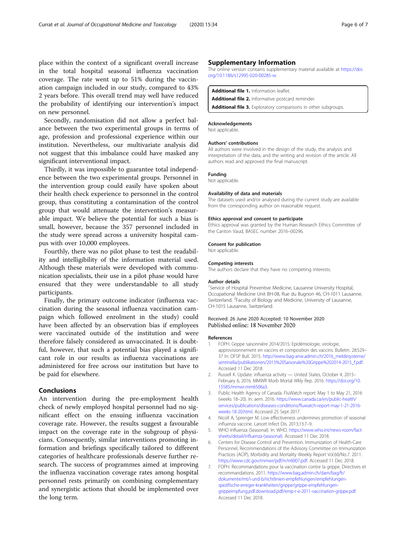<span id="page-5-0"></span>place within the context of a significant overall increase in the total hospital seasonal influenza vaccination coverage. The rate went up to 51% during the vaccination campaign included in our study, compared to 43% 2 years before. This overall trend may well have reduced the probability of identifying our intervention's impact on new personnel.

Secondly, randomisation did not allow a perfect balance between the two experimental groups in terms of age, profession and professional experience within our institution. Nevertheless, our multivariate analysis did not suggest that this imbalance could have masked any significant interventional impact.

Thirdly, it was impossible to guarantee total independence between the two experimental groups. Personnel in the intervention group could easily have spoken about their health check experience to personnel in the control group, thus constituting a contamination of the control group that would attenuate the intervention's measurable impact. We believe the potential for such a bias is small, however, because the 357 personnel included in the study were spread across a university hospital campus with over 10,000 employees.

Fourthly, there was no pilot phase to test the readability and intelligibility of the information material used. Although these materials were developed with communication specialists, their use in a pilot phase would have ensured that they were understandable to all study participants.

Finally, the primary outcome indicator (influenza vaccination during the seasonal influenza vaccination campaign which followed enrolment in the study) could have been affected by an observation bias if employees were vaccinated outside of the institution and were therefore falsely considered as unvaccinated. It is doubtful, however, that such a potential bias played a significant role in our results as influenza vaccinations are administered for free across our institution but have to be paid for elsewhere.

#### Conclusions

An intervention during the pre-employment health check of newly employed hospital personnel had no significant effect on the ensuing influenza vaccination coverage rate. However, the results suggest a favourable impact on the coverage rate in the subgroup of physicians. Consequently, similar interventions promoting information and briefings specifically tailored to different categories of healthcare professionals deserve further research. The success of programmes aimed at improving the influenza vaccination coverage rates among hospital personnel rests primarily on combining complementary and synergistic actions that should be implemented over the long term.

#### Supplementary Information

The online version contains supplementary material available at [https://doi.](https://doi.org/10.1186/s12995-020-00285-w) [org/10.1186/s12995-020-00285-w](https://doi.org/10.1186/s12995-020-00285-w).

#### Additional file 1. Information leaflet.

Additional file 2. Informative postcard reminder. Additional file 3. Exploratory comparisons in other subgroups.

#### Acknowledgements

Not applicable.

#### Authors' contributions

All authors were involved in the design of the study, the analysis and interpretation of the data, and the writing and revision of the article. All authors read and approved the final manuscript.

#### Funding

Not applicable.

#### Availability of data and materials

The datasets used and/or analysed during the current study are available from the corresponding author on reasonable request.

#### Ethics approval and consent to participate

Ethics approval was granted by the Human Research Ethics Committee of the Canton Vaud, BASEC number 2016–00296.

#### Consent for publication

Not applicable.

#### Competing interests

The authors declare that they have no competing interests.

#### Author details

<sup>1</sup>Service of Hospital Preventive Medicine, Lausanne University Hospital Occupational Medicine Unit BH-08, Rue du Bugnon 46, CH-1011 Lausanne, Switzerland. <sup>2</sup>Faculty of Biology and Medicine, University of Lausanne, CH-1015 Lausanne, Switzerland.

#### Received: 26 June 2020 Accepted: 10 November 2020 Published online: 18 November 2020

#### References

- 1. FOPH. Grippe saisonnière 2014/2015: Epidémiologie, virologie, approvisionnement en vaccins et composition des vaccins. Bulletin. 28:529– 37 In: OFSP Bull. 2015. [http://www.bag-anw.admin.ch/2016\\_meldesysteme/](http://www.bag-anw.admin.ch/2016_meldesysteme/sentinella/publikationen/2015%20Saisonale%20Grippe%202014-2015_f.pdf) [sentinella/publikationen/2015%20Saisonale%20Grippe%202014-2015\\_f.pdf.](http://www.bag-anw.admin.ch/2016_meldesysteme/sentinella/publikationen/2015%20Saisonale%20Grippe%202014-2015_f.pdf) Accessed 11 Dec 2018.
- 2. Russell K. Update: influenza activity United States, October 4, 2015– February 6, 2016. MMWR Morb Mortal Wkly Rep. 2016. [https://doi.org/10.](https://doi.org/10.15585/mmwr.mm6506a3) [15585/mmwr.mm6506a3](https://doi.org/10.15585/mmwr.mm6506a3).
- 3. Public Health Agency of Canada. FluWatch report: May 1 to May 21, 2016 (weeks 18–20). In: aem. 2016. [https://www.canada.ca/en/public-health/](https://www.canada.ca/en/public-health/services/publications/diseases-conditions/fluwatch-report-may-1-21-2016-weeks-18-20.html) [services/publications/diseases-conditions/fluwatch-report-may-1-21-2016](https://www.canada.ca/en/public-health/services/publications/diseases-conditions/fluwatch-report-may-1-21-2016-weeks-18-20.html) [weeks-18-20.html](https://www.canada.ca/en/public-health/services/publications/diseases-conditions/fluwatch-report-may-1-21-2016-weeks-18-20.html). Accessed 25 Sept 2017.
- 4. Nicoll A, Sprenger M. Low effectiveness undermines promotion of seasonal influenza vaccine. Lancet Infect Dis. 2013;13:7–9.
- 5. WHO Influenza (Seasonal). In: WHO. [https://www.who.int/news-room/fact](https://www.who.int/news-room/fact-sheets/detail/influenza-(seasonal))[sheets/detail/influenza-\(seasonal\).](https://www.who.int/news-room/fact-sheets/detail/influenza-(seasonal)) Accessed 11 Dec 2018.
- Centers for Disease Control and Prevention. Immunization of Health-Care Personnel, Recommendations of the Advisory Committee on Immunization Practices (ACIP), Morbidity and Mortality Weekly Report Vol.60/No.7. 2011. [https://www.cdc.gov/mmwr/pdf/rr/rr6007.pdf.](https://www.cdc.gov/mmwr/pdf/rr/rr6007.pdf) Accessed 11 Dec 2018.
- 7. FOPH. Recommandations pour la vaccination contre la grippe, Directives et recommandations. 2011. [https://www.bag.admin.ch/dam/bag/fr/](https://www.bag.admin.ch/dam/bag/fr/dokumente/mt/i-und-b/richtlinien-empfehlungen/empfehlungen-spezifische-erreger-krankheiten/grippe/grippe-empfehlungen-grippeimpfung.pdf.download.pdf/emp-r-e-2011-vaccination-grippe.pdf) [dokumente/mt/i-und-b/richtlinien-empfehlungen/empfehlungen](https://www.bag.admin.ch/dam/bag/fr/dokumente/mt/i-und-b/richtlinien-empfehlungen/empfehlungen-spezifische-erreger-krankheiten/grippe/grippe-empfehlungen-grippeimpfung.pdf.download.pdf/emp-r-e-2011-vaccination-grippe.pdf)[spezifische-erreger-krankheiten/grippe/grippe-empfehlungen](https://www.bag.admin.ch/dam/bag/fr/dokumente/mt/i-und-b/richtlinien-empfehlungen/empfehlungen-spezifische-erreger-krankheiten/grippe/grippe-empfehlungen-grippeimpfung.pdf.download.pdf/emp-r-e-2011-vaccination-grippe.pdf)[grippeimpfung.pdf.download.pdf/emp-r-e-2011-vaccination-grippe.pdf.](https://www.bag.admin.ch/dam/bag/fr/dokumente/mt/i-und-b/richtlinien-empfehlungen/empfehlungen-spezifische-erreger-krankheiten/grippe/grippe-empfehlungen-grippeimpfung.pdf.download.pdf/emp-r-e-2011-vaccination-grippe.pdf) Accessed 11 Dec 2018.